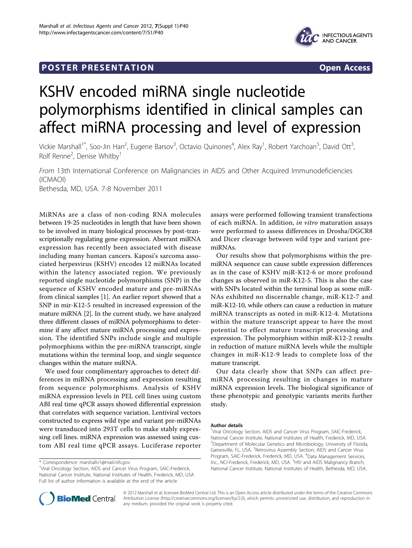## **POSTER PRESENTATION CONSUMING THE SECOND CONSUMING THE SECOND CONSUMING THE SECOND CONSUMING THE SECOND CONSUMING THE SECOND CONSUMING THE SECOND CONSUMING THE SECOND CONSUMING THE SECOND CONSUMING THE SECOND CONSUMING**



# KSHV encoded miRNA single nucleotide polymorphisms identified in clinical samples can affect miRNA processing and level of expression

Vickie Marshall<sup>1\*</sup>, Soo-Jin Han<sup>2</sup>, Eugene Barsov<sup>3</sup>, Octavio Quinones<sup>4</sup>, Alex Ray<sup>1</sup>, Robert Yarchoan<sup>5</sup>, David Ott<sup>3</sup> , Rolf Renne<sup>2</sup>, Denise Whitby<sup>1</sup>

From 13th International Conference on Malignancies in AIDS and Other Acquired Immunodeficiencies (ICMAOI) Bethesda, MD, USA. 7-8 November 2011

MiRNAs are a class of non-coding RNA molecules between 19-25 nucleotides in length that have been shown to be involved in many biological processes by post-transcriptionally regulating gene expression. Aberrant miRNA expression has recently been associated with disease including many human cancers. Kaposi's sarcoma associated herpesvirus (KSHV) encodes 12 miRNAs located within the latency associated region. We previously reported single nucleotide polymorphisms (SNP) in the sequence of KSHV encoded mature and pre-miRNAs from clinical samples [\[1](#page-1-0)]. An earlier report showed that a SNP in mir-K12-5 resulted in increased expression of the mature miRNA [\[2](#page-1-0)]. In the current study, we have analyzed three different classes of miRNA polymorphisms to determine if any affect mature miRNA processing and expression. The identified SNPs include single and multiple polymorphisms within the pre-miRNA transcript, single mutations within the terminal loop, and single sequence changes within the mature miRNA.

We used four complimentary approaches to detect differences in miRNA processing and expression resulting from sequence polymorphisms. Analysis of KSHV miRNA expression levels in PEL cell lines using custom ABI real time qPCR assays showed differential expression that correlates with sequence variation. Lentiviral vectors constructed to express wild type and variant pre-miRNAs were transduced into 293T cells to make stably expressing cell lines. miRNA expression was assessed using custom ABI real time qPCR assays. Luciferase reporter

assays were performed following transient transfections of each miRNA. In addition, in vitro maturation assays were performed to assess differences in Drosha/DGCR8 and Dicer cleavage between wild type and variant premiRNAs.

Our results show that polymorphisms within the premiRNA sequence can cause subtle expression differences as in the case of KSHV miR-K12-6 or more profound changes as observed in miR-K12-5. This is also the case with SNPs located within the terminal loop as some miR-NAs exhibited no discernable change, miR-K12-7 and miR-K12-10, while others can cause a reduction in mature miRNA transcripts as noted in miR-K12-4. Mutations within the mature transcript appear to have the most potential to effect mature transcript processing and expression. The polymorphism within miR-K12-2 results in reduction of mature miRNA levels while the multiple changes in miR-K12-9 leads to complete loss of the mature transcript.

Our data clearly show that SNPs can affect premiRNA processing resulting in changes in mature miRNA expression levels. The biological significance of these phenotypic and genotypic variants merits further study.

#### Author details

<sup>1</sup>Viral Oncology Section, AIDS and Cancer Virus Program, SAIC-Frederick, National Cancer Institute, National Institutes of Health, Frederick, MD, USA. <sup>2</sup>Department of Molecular Genetics and Microbiology, University of Florida, Gainesville, FL, USA. <sup>3</sup>Retrovirus Assembly Section, AIDS and Cancer Virus Program, SAIC-Frederick, Frederick, MD, USA. <sup>4</sup>Data Management Services, Inc., NCI-Frederick, Frederick, MD, USA. <sup>5</sup>HIV and AIDS Malignancy Branch, National Cancer Institute, National Institutes of Health, Bethesda, MD, USA.



© 2012 Marshall et al; licensee BioMed Central Ltd. This is an Open Access article distributed under the terms of the Creative Commons Attribution License [\(http://creativecommons.org/licenses/by/2.0](http://creativecommons.org/licenses/by/2.0)), which permits unrestricted use, distribution, and reproduction in any medium, provided the original work is properly cited.

<sup>\*</sup> Correspondence: [marshallv1@mail.nih.gov](mailto:marshallv1@mail.nih.gov)

<sup>&</sup>lt;sup>1</sup>Viral Oncology Section, AIDS and Cancer Virus Program, SAIC-Frederick, National Cancer Institute, National Institutes of Health, Frederick, MD, USA Full list of author information is available at the end of the article